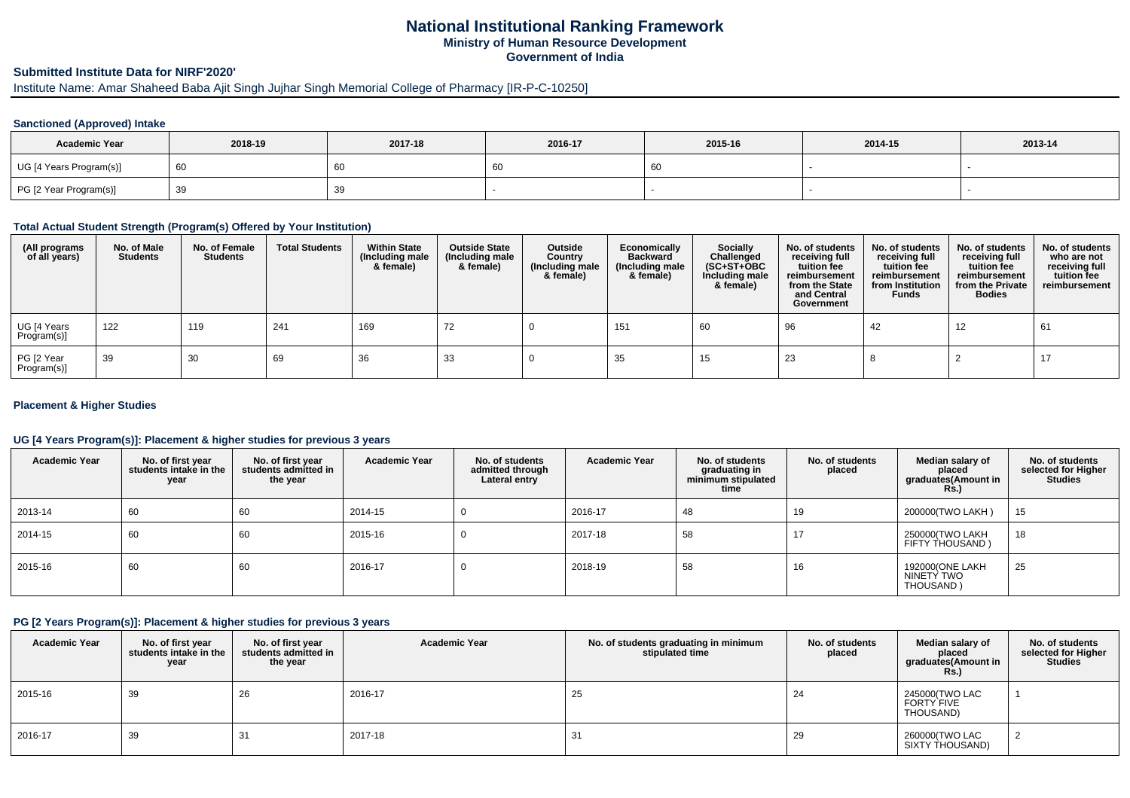# **National Institutional Ranking FrameworkMinistry of Human Resource DevelopmentGovernment of India**

# **Submitted Institute Data for NIRF'2020'**

Institute Name: Amar Shaheed Baba Ajit Singh Jujhar Singh Memorial College of Pharmacy [IR-P-C-10250]

## **Sanctioned (Approved) Intake**

| <b>Academic Year</b>    | 2018-19 | 2017-18 | 2016-17 | 2015-16 | 2014-15 | 2013-14 |
|-------------------------|---------|---------|---------|---------|---------|---------|
| UG [4 Years Program(s)] | l 60    |         | .oo     | 60      |         |         |
| PG [2 Year Program(s)]  | 39      | 39      |         |         |         |         |

## **Total Actual Student Strength (Program(s) Offered by Your Institution)**

| (All programs<br>of all years) | No. of Male<br><b>Students</b> | No. of Female<br><b>Students</b> | <b>Total Students</b> | <b>Within State</b><br>(Including male<br>& female) | <b>Outside State</b><br>(Including male<br>& female) | Outside<br>Country<br>(Including male<br>& female) | Economically<br>Backward<br>(Including male)<br>& female) | <b>Socially</b><br>Challenged<br>$(SC+ST+OBC)$<br>Including male<br>& female) | No. of students<br>receiving full<br>tuition fee<br>reimbursement<br>from the State<br>and Central<br>Government | No. of students<br>receiving full<br>tuition fee<br>reimbursement<br>from Institution<br><b>Funds</b> | No. of students<br>receiving full<br>tuition fee<br>reimbursement<br>from the Private<br><b>Bodies</b> | No. of students<br>who are not<br>receiving full<br>tuition fee<br>reimbursement |
|--------------------------------|--------------------------------|----------------------------------|-----------------------|-----------------------------------------------------|------------------------------------------------------|----------------------------------------------------|-----------------------------------------------------------|-------------------------------------------------------------------------------|------------------------------------------------------------------------------------------------------------------|-------------------------------------------------------------------------------------------------------|--------------------------------------------------------------------------------------------------------|----------------------------------------------------------------------------------|
| UG [4 Years<br>Program(s)]     | 122                            | 119                              | 241                   | 169                                                 | 72                                                   |                                                    | 151                                                       | 60                                                                            | 96                                                                                                               | 42                                                                                                    | 12                                                                                                     | 61                                                                               |
| PG [2 Year<br>Program(s)]      | 39                             | 30                               | 69                    | 36                                                  | 33                                                   |                                                    | 35                                                        | 15                                                                            | 23                                                                                                               |                                                                                                       |                                                                                                        | -17                                                                              |

## **Placement & Higher Studies**

## **UG [4 Years Program(s)]: Placement & higher studies for previous 3 years**

| <b>Academic Year</b> | No. of first year<br>students intake in the<br>year | No. of first year<br>students admitted in<br>the year | <b>Academic Year</b> | No. of students<br>admitted through<br>Lateral entry | <b>Academic Year</b> | No. of students<br>graduating in<br>minimum stipulated<br>time | No. of students<br>placed | Median salary of<br>placed<br>graduates(Amount in<br>Rs.) | No. of students<br>selected for Higher<br><b>Studies</b> |
|----------------------|-----------------------------------------------------|-------------------------------------------------------|----------------------|------------------------------------------------------|----------------------|----------------------------------------------------------------|---------------------------|-----------------------------------------------------------|----------------------------------------------------------|
| 2013-14              | 60                                                  | 60                                                    | 2014-15              |                                                      | 2016-17              | 48                                                             | 19                        | 200000 (TWO LAKH)                                         | 15                                                       |
| 2014-15              | 60                                                  | 60                                                    | 2015-16              |                                                      | 2017-18              | 58                                                             |                           | 250000(TWO LAKH<br>FIFTY THOUSAND)                        | 18                                                       |
| 2015-16              | 60                                                  | 60                                                    | 2016-17              |                                                      | 2018-19              | 58                                                             | 16                        | 192000(ONE LAKH<br>NINETY TWO<br>THOUSAND)                | 25                                                       |

## **PG [2 Years Program(s)]: Placement & higher studies for previous 3 years**

| <b>Academic Year</b> | No. of first year<br>students intake in the<br>year | No. of first year<br>students admitted in<br>the year | <b>Academic Year</b> | No. of students graduating in minimum<br>stipulated time | No. of students<br>placed | Median salary of<br>placed<br>graduates(Amount in<br>Rs.) | No. of students<br>selected for Higher<br><b>Studies</b> |
|----------------------|-----------------------------------------------------|-------------------------------------------------------|----------------------|----------------------------------------------------------|---------------------------|-----------------------------------------------------------|----------------------------------------------------------|
| 2015-16              | 39                                                  | 26                                                    | 2016-17              | 25                                                       | 24                        | 245000 (TWO LAC<br><b>FORTY FIVE</b><br>THOUSAND)         |                                                          |
| 2016-17              | 39                                                  | 31                                                    | 2017-18              | 31                                                       | 29                        | 260000(TWO LAC<br>SIXTY THOUSAND)                         |                                                          |